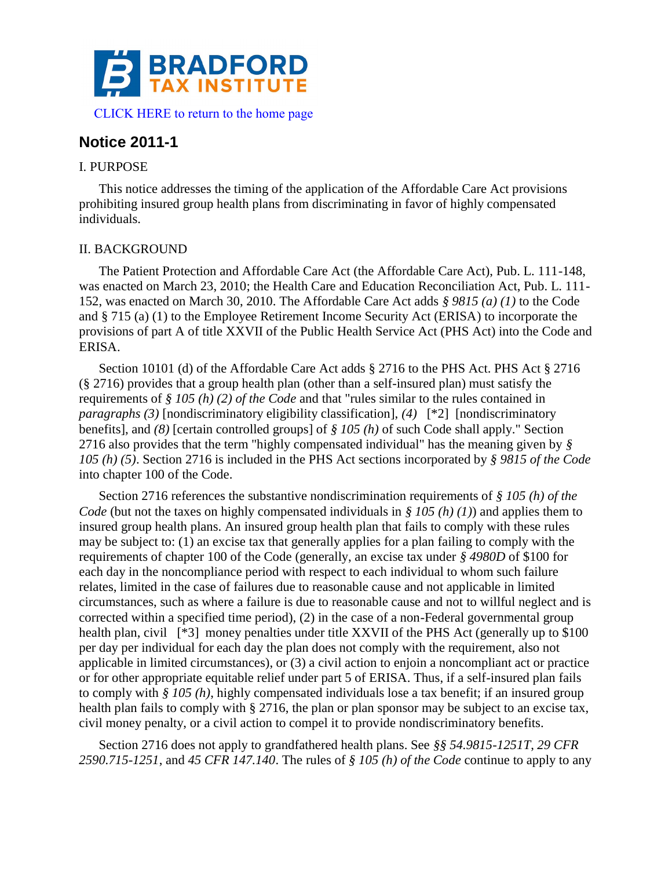

[CLICK HERE to return to the home page](http://bradfordtaxinstitute.com/index1.aspx) 

# **Notice 2011-1**

### I. PURPOSE

This notice addresses the timing of the application of the Affordable Care Act provisions prohibiting insured group health plans from discriminating in favor of highly compensated individuals.

## II. BACKGROUND

The Patient Protection and Affordable Care Act (the Affordable Care Act), Pub. L. 111-148, was enacted on March 23, 2010; the Health Care and Education Reconciliation Act, Pub. L. 111- 152, was enacted on March 30, 2010. The Affordable Care Act adds *§ 9815 (a) (1)* to the Code and § 715 (a) (1) to the Employee Retirement Income Security Act (ERISA) to incorporate the provisions of part A of title XXVII of the Public Health Service Act (PHS Act) into the Code and ERISA.

Section 10101 (d) of the Affordable Care Act adds § 2716 to the PHS Act. PHS Act § 2716 (§ 2716) provides that a group health plan (other than a self-insured plan) must satisfy the requirements of *§ 105 (h) (2) of the Code* and that "rules similar to the rules contained in *paragraphs (3)* [nondiscriminatory eligibility classification], *(4)* [\*2] [nondiscriminatory benefits], and *(8)* [certain controlled groups] of *§ 105 (h)* of such Code shall apply." Section 2716 also provides that the term "highly compensated individual" has the meaning given by *§ 105 (h) (5)*. Section 2716 is included in the PHS Act sections incorporated by *§ 9815 of the Code* into chapter 100 of the Code.

Section 2716 references the substantive nondiscrimination requirements of *§ 105 (h) of the Code* (but not the taxes on highly compensated individuals in *§ 105 (h) (1)*) and applies them to insured group health plans. An insured group health plan that fails to comply with these rules may be subject to: (1) an excise tax that generally applies for a plan failing to comply with the requirements of chapter 100 of the Code (generally, an excise tax under *§ 4980D* of \$100 for each day in the noncompliance period with respect to each individual to whom such failure relates, limited in the case of failures due to reasonable cause and not applicable in limited circumstances, such as where a failure is due to reasonable cause and not to willful neglect and is corrected within a specified time period), (2) in the case of a non-Federal governmental group health plan, civil [\*3] money penalties under title XXVII of the PHS Act (generally up to \$100) per day per individual for each day the plan does not comply with the requirement, also not applicable in limited circumstances), or (3) a civil action to enjoin a noncompliant act or practice or for other appropriate equitable relief under part 5 of ERISA. Thus, if a self-insured plan fails to comply with *§ 105 (h)*, highly compensated individuals lose a tax benefit; if an insured group health plan fails to comply with § 2716, the plan or plan sponsor may be subject to an excise tax, civil money penalty, or a civil action to compel it to provide nondiscriminatory benefits.

Section 2716 does not apply to grandfathered health plans. See *§§ 54.9815-1251T*, *29 CFR 2590.715-1251*, and *45 CFR 147.140*. The rules of *§ 105 (h) of the Code* continue to apply to any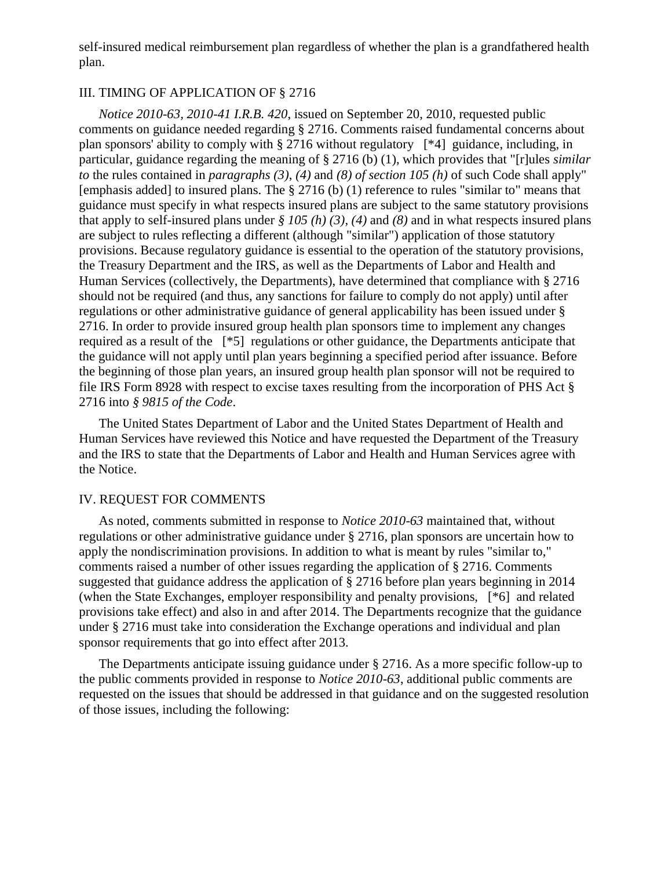self-insured medical reimbursement plan regardless of whether the plan is a grandfathered health plan.

### III. TIMING OF APPLICATION OF § 2716

*Notice 2010-63, 2010-41 I.R.B. 420*, issued on September 20, 2010, requested public comments on guidance needed regarding § 2716. Comments raised fundamental concerns about plan sponsors' ability to comply with § 2716 without regulatory [\*4] guidance, including, in particular, guidance regarding the meaning of § 2716 (b) (1), which provides that "[r]ules *similar to* the rules contained in *paragraphs (3)*, *(4)* and *(8) of section 105 (h)* of such Code shall apply" [emphasis added] to insured plans. The § 2716 (b) (1) reference to rules "similar to" means that guidance must specify in what respects insured plans are subject to the same statutory provisions that apply to self-insured plans under *§ 105 (h) (3)*, *(4)* and *(8)* and in what respects insured plans are subject to rules reflecting a different (although "similar") application of those statutory provisions. Because regulatory guidance is essential to the operation of the statutory provisions, the Treasury Department and the IRS, as well as the Departments of Labor and Health and Human Services (collectively, the Departments), have determined that compliance with § 2716 should not be required (and thus, any sanctions for failure to comply do not apply) until after regulations or other administrative guidance of general applicability has been issued under § 2716. In order to provide insured group health plan sponsors time to implement any changes required as a result of the [\*5] regulations or other guidance, the Departments anticipate that the guidance will not apply until plan years beginning a specified period after issuance. Before the beginning of those plan years, an insured group health plan sponsor will not be required to file IRS Form 8928 with respect to excise taxes resulting from the incorporation of PHS Act § 2716 into *§ 9815 of the Code*.

The United States Department of Labor and the United States Department of Health and Human Services have reviewed this Notice and have requested the Department of the Treasury and the IRS to state that the Departments of Labor and Health and Human Services agree with the Notice.

#### IV. REQUEST FOR COMMENTS

As noted, comments submitted in response to *Notice 2010-63* maintained that, without regulations or other administrative guidance under § 2716, plan sponsors are uncertain how to apply the nondiscrimination provisions. In addition to what is meant by rules "similar to," comments raised a number of other issues regarding the application of § 2716. Comments suggested that guidance address the application of § 2716 before plan years beginning in 2014 (when the State Exchanges, employer responsibility and penalty provisions, [\*6] and related provisions take effect) and also in and after 2014. The Departments recognize that the guidance under § 2716 must take into consideration the Exchange operations and individual and plan sponsor requirements that go into effect after 2013.

The Departments anticipate issuing guidance under § 2716. As a more specific follow-up to the public comments provided in response to *Notice 2010-63*, additional public comments are requested on the issues that should be addressed in that guidance and on the suggested resolution of those issues, including the following: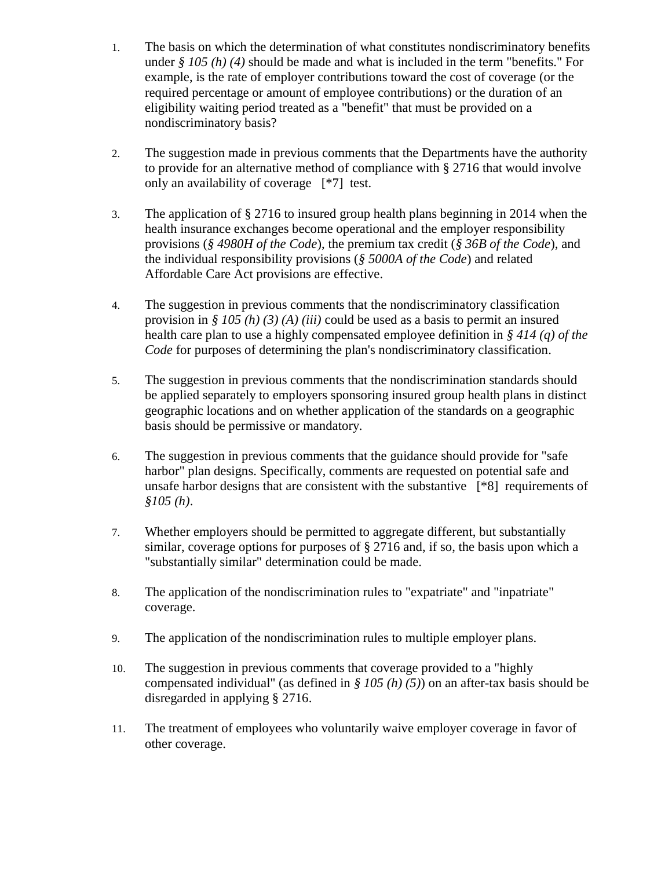- 1. The basis on which the determination of what constitutes nondiscriminatory benefits under *§ 105 (h) (4)* should be made and what is included in the term "benefits." For example, is the rate of employer contributions toward the cost of coverage (or the required percentage or amount of employee contributions) or the duration of an eligibility waiting period treated as a "benefit" that must be provided on a nondiscriminatory basis?
- 2. The suggestion made in previous comments that the Departments have the authority to provide for an alternative method of compliance with § 2716 that would involve only an availability of coverage [\*7] test.
- 3. The application of § 2716 to insured group health plans beginning in 2014 when the health insurance exchanges become operational and the employer responsibility provisions (*§ 4980H of the Code*), the premium tax credit (*§ 36B of the Code*), and the individual responsibility provisions (*§ 5000A of the Code*) and related Affordable Care Act provisions are effective.
- 4. The suggestion in previous comments that the nondiscriminatory classification provision in *§ 105 (h) (3) (A) (iii)* could be used as a basis to permit an insured health care plan to use a highly compensated employee definition in *§ 414 (q) of the Code* for purposes of determining the plan's nondiscriminatory classification.
- 5. The suggestion in previous comments that the nondiscrimination standards should be applied separately to employers sponsoring insured group health plans in distinct geographic locations and on whether application of the standards on a geographic basis should be permissive or mandatory.
- 6. The suggestion in previous comments that the guidance should provide for "safe harbor" plan designs. Specifically, comments are requested on potential safe and unsafe harbor designs that are consistent with the substantive [\*8] requirements of *§105 (h)*.
- 7. Whether employers should be permitted to aggregate different, but substantially similar, coverage options for purposes of § 2716 and, if so, the basis upon which a "substantially similar" determination could be made.
- 8. The application of the nondiscrimination rules to "expatriate" and "inpatriate" coverage.
- 9. The application of the nondiscrimination rules to multiple employer plans.
- 10. The suggestion in previous comments that coverage provided to a "highly compensated individual" (as defined in *§ 105 (h) (5)*) on an after-tax basis should be disregarded in applying § 2716.
- 11. The treatment of employees who voluntarily waive employer coverage in favor of other coverage.